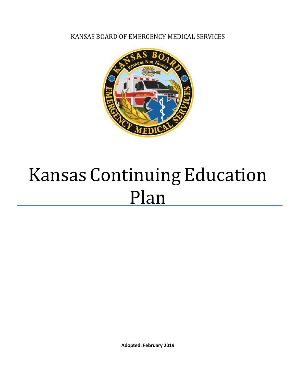KANSAS BOARD OF EMERGENCY MEDICAL SERVICES



# Kansas Continuing Education Plan

**Adopted: February 2019**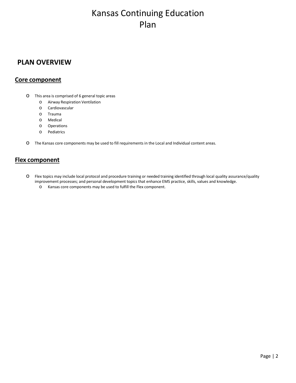## Kansas Continuing Education Plan

#### **PLAN OVERVIEW**

#### **Core component**

- o This area is comprised of 6 general topic areas
	- Airway Respiration Ventilation
	- o Cardiovascular
	- o Trauma
	- o Medical
	- o Operations
	- o Pediatrics
- o The Kansas core components may be used to fill requirementsin the Local and Individual content areas.

#### **Flex component**

- o Flex topics may include local protocol and procedure training or needed training identified through local quality assurance/quality improvement processes; and personal development topics that enhance EMS practice, skills, values and knowledge.
	- o Kansas core components may be used to fulfill the Flex component.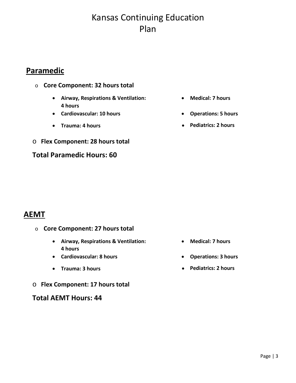# Kansas Continuing Education Plan

## **Paramedic**

- o **Core Component: 32 hours total**
	- **Airway, Respirations & Ventilation: 4 hours**
	- **Cardiovascular: 10 hours Operations: 5 hours**
	-
- o **Flex Component: 28 hours total**

#### **Total Paramedic Hours: 60**

- **Medical: 7 hours**
- 
- **Trauma: 4 hours Pediatrics: 2 hours**

## **AEMT**

- o **Core Component: 27 hours total**
	- **Airway, Respirations & Ventilation: 4 hours**
	- **Cardiovascular: 8 hours Operations: 3 hours**
	-
- o **Flex Component: 17 hours total**

**Total AEMT Hours: 44**

- **Medical: 7 hours**
- 
- **Trauma: 3 hours Pediatrics: 2 hours**